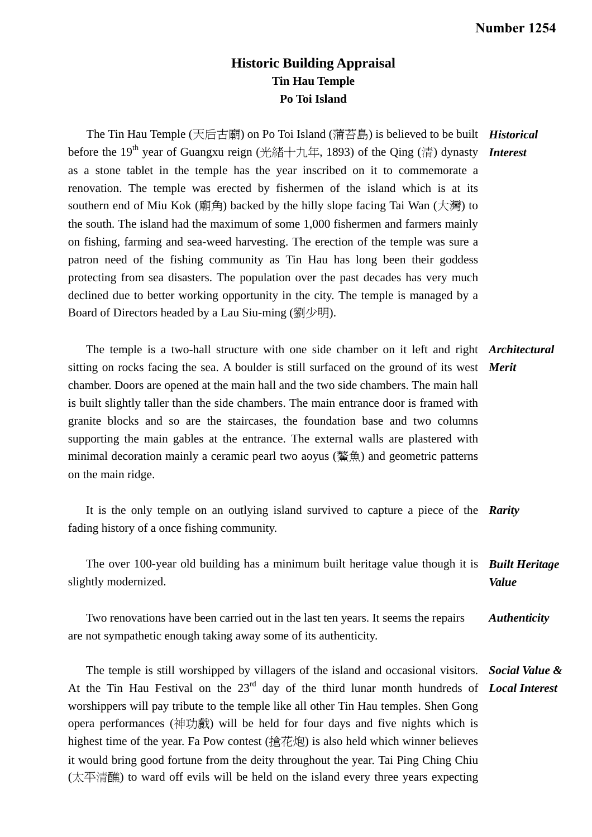## **Historic Building Appraisal Tin Hau Temple Po Toi Island**

 The Tin Hau Temple (天后古廟) on Po Toi Island (蒲苔島) is believed to be built *Historical*  before the 19<sup>th</sup> year of Guangxu reign (光緒十九年, 1893) of the Qing (清) dynasty *Interest* as a stone tablet in the temple has the year inscribed on it to commemorate a renovation. The temple was erected by fishermen of the island which is at its southern end of Miu Kok (廟角) backed by the hilly slope facing Tai Wan  $(\text{im})$  to the south. The island had the maximum of some 1,000 fishermen and farmers mainly on fishing, farming and sea-weed harvesting. The erection of the temple was sure a patron need of the fishing community as Tin Hau has long been their goddess protecting from sea disasters. The population over the past decades has very much declined due to better working opportunity in the city. The temple is managed by a Board of Directors headed by a Lau Siu-ming (劉少明).

 The temple is a two-hall structure with one side chamber on it left and right *Architectural*  sitting on rocks facing the sea. A boulder is still surfaced on the ground of its west *Merit*  chamber. Doors are opened at the main hall and the two side chambers. The main hall is built slightly taller than the side chambers. The main entrance door is framed with granite blocks and so are the staircases, the foundation base and two columns supporting the main gables at the entrance. The external walls are plastered with minimal decoration mainly a ceramic pearl two aoyus (鰲魚) and geometric patterns on the main ridge.

 It is the only temple on an outlying island survived to capture a piece of the *Rarity*  fading history of a once fishing community.

 The over 100-year old building has a minimum built heritage value though it is *Built Heritage*  slightly modernized. *Value* 

 Two renovations have been carried out in the last ten years. It seems the repairs are not sympathetic enough taking away some of its authenticity. *Authenticity* 

 The temple is still worshipped by villagers of the island and occasional visitors. *Social Value &*  At the Tin Hau Festival on the 23<sup>rd</sup> day of the third lunar month hundreds of *Local Interest* worshippers will pay tribute to the temple like all other Tin Hau temples. Shen Gong opera performances (神功戲) will be held for four days and five nights which is highest time of the year. Fa Pow contest (搶花炮) is also held which winner believes it would bring good fortune from the deity throughout the year. Tai Ping Ching Chiu (太平清醮) to ward off evils will be held on the island every three years expecting